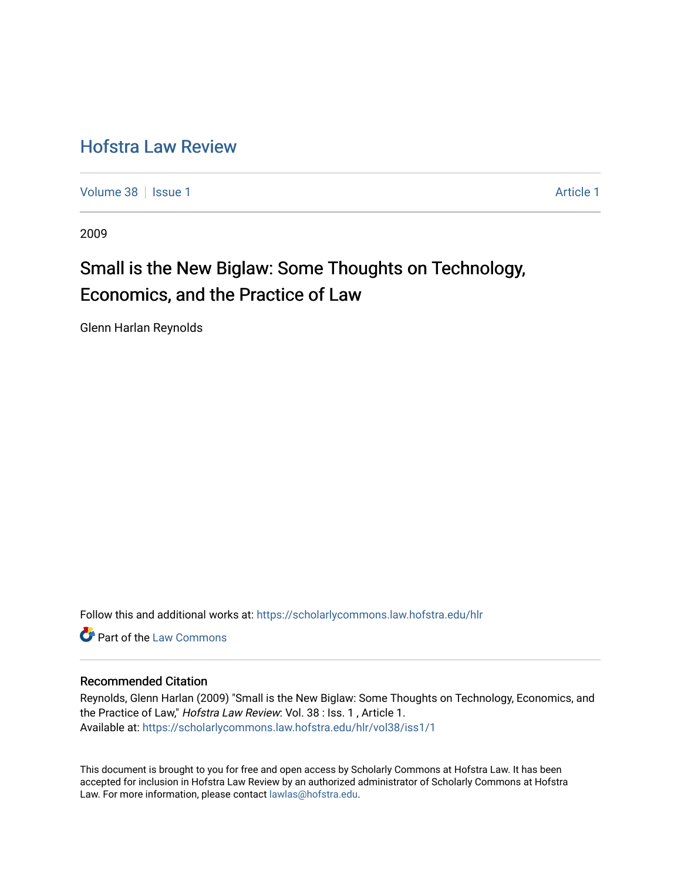# [Hofstra Law Review](https://scholarlycommons.law.hofstra.edu/hlr)

[Volume 38](https://scholarlycommons.law.hofstra.edu/hlr/vol38) | [Issue 1](https://scholarlycommons.law.hofstra.edu/hlr/vol38/iss1) [Article 1](https://scholarlycommons.law.hofstra.edu/hlr/vol38/iss1/1) Article 1 Article 1 Article 1 Article 1 Article 1 Article 1 Article 1

2009

# Small is the New Biglaw: Some Thoughts on Technology, Economics, and the Practice of Law

Glenn Harlan Reynolds

Follow this and additional works at: [https://scholarlycommons.law.hofstra.edu/hlr](https://scholarlycommons.law.hofstra.edu/hlr?utm_source=scholarlycommons.law.hofstra.edu%2Fhlr%2Fvol38%2Fiss1%2F1&utm_medium=PDF&utm_campaign=PDFCoverPages)

**C** Part of the [Law Commons](http://network.bepress.com/hgg/discipline/578?utm_source=scholarlycommons.law.hofstra.edu%2Fhlr%2Fvol38%2Fiss1%2F1&utm_medium=PDF&utm_campaign=PDFCoverPages)

# Recommended Citation

Reynolds, Glenn Harlan (2009) "Small is the New Biglaw: Some Thoughts on Technology, Economics, and the Practice of Law," Hofstra Law Review: Vol. 38 : Iss. 1, Article 1. Available at: [https://scholarlycommons.law.hofstra.edu/hlr/vol38/iss1/1](https://scholarlycommons.law.hofstra.edu/hlr/vol38/iss1/1?utm_source=scholarlycommons.law.hofstra.edu%2Fhlr%2Fvol38%2Fiss1%2F1&utm_medium=PDF&utm_campaign=PDFCoverPages)

This document is brought to you for free and open access by Scholarly Commons at Hofstra Law. It has been accepted for inclusion in Hofstra Law Review by an authorized administrator of Scholarly Commons at Hofstra Law. For more information, please contact [lawlas@hofstra.edu.](mailto:lawlas@hofstra.edu)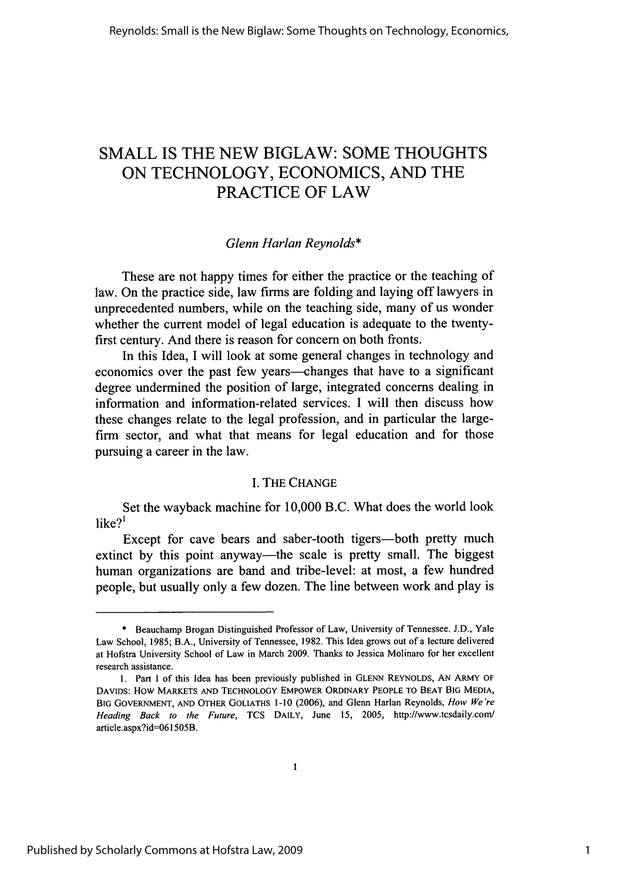# **SMALL IS** THE **NEW** BIGLAW: **SOME THOUGHTS ON TECHNOLOGY, ECONOMICS, AND** THE PRACTICE OF LAW

## *Glenn Harlan Reynolds\**

These are not happy times for either the practice or the teaching of law. On the practice side, law firms are folding and laying off lawyers in unprecedented numbers, while on the teaching side, many of us wonder whether the current model of legal education is adequate to the twentyfirst century. And there is reason for concern on both fronts.

In this Idea, **I** will look at some general changes in technology and economics over the past few years—changes that have to a significant degree undermined the position of large, integrated concerns dealing in information and information-related services. **I** will then discuss how these changes relate to the legal profession, and in particular the largefirm sector, and what that means for legal education and for those pursuing a career in the law.

#### **I.** THE **CHANGE**

Set the wayback machine for **10,000** B.C. What does the world look like?<sup>1</sup>

Except for cave bears and saber-tooth tigers—both pretty much extinct by this point anyway—the scale is pretty small. The biggest human organizations are band and tribe-level: at most, a few hundred people, but usually only a few dozen. The line between work and play is

**<sup>\*</sup>** Beauchamp Brogan Distinguished Professor of Law, University of Tennessee. **J.D.,** Yale Law School, **1985;** B.A., University of Tennessee, **1982.** This Idea grows out of a lecture delivered at Hofstra University School of Law in March **2009.** Thanks to Jessica Molinaro for her excellent research assistance.

**<sup>1.</sup>** Part **I** of this Idea has been previously published in **GLENN REYNOLDS, AN ARMY OF DAVIDS:** How **MARKETS AND** TECHNOLOGY EMPOWER ORDINARY PEOPLE TO BEAT BIG **MEDIA,** BIG **GOVERNMENT, AND** OTHER **GOLIATHS 1-10 (2006),** and Glenn Harlan Reynolds, *How We're Heading Back to the Future,* **TCS** DAILY, June **15, 2005,** http://www.tcsdaily.com/ article.aspx?id=061505B.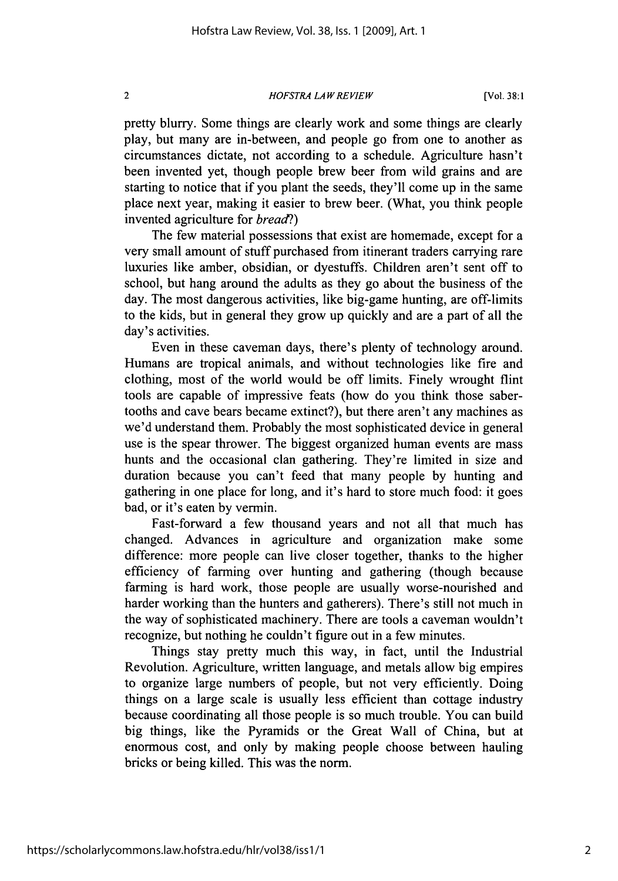#### *HOFSTRA LAW REVIEW* 2 [Vol. **38: 1**

pretty blurry. Some things are clearly work and some things are clearly play, but many are in-between, and people go from one to another as circumstances dictate, not according to a schedule. Agriculture hasn't been invented yet, though people brew beer from wild grains and are starting to notice that if you plant the seeds, they'll come up in the same place next year, making it easier to brew beer. (What, you think people invented agriculture for *bread?)*

The few material possessions that exist are homemade, except for a very small amount of stuff purchased from itinerant traders carrying rare luxuries like amber, obsidian, or dyestuffs. Children aren't sent off to school, but hang around the adults as they go about the business of the day. The most dangerous activities, like big-game hunting, are off-limits to the kids, but in general they grow up quickly and are a part of all the day's activities.

Even in these caveman days, there's plenty of technology around. Humans are tropical animals, and without technologies like fire and clothing, most of the world would be off limits. Finely wrought flint tools are capable of impressive feats (how do you think those sabertooths and cave bears became extinct?), but there aren't any machines as we'd understand them. Probably the most sophisticated device in general use is the spear thrower. The biggest organized human events are mass hunts and the occasional clan gathering. They're limited in size and duration because you can't feed that many people **by** hunting and gathering in one place for long, and it's hard to store much food: it goes bad, or it's eaten **by** vermin.

Fast-forward a few thousand years and not all that much has changed. Advances in agriculture and organization make some difference: more people can live closer together, thanks to the higher efficiency of farming over hunting and gathering (though because farming is hard work, those people are usually worse-nourished and harder working than the hunters and gatherers). There's still not much in the way of sophisticated machinery. There are tools a caveman wouldn't recognize, but nothing he couldn't figure out in a few minutes.

Things stay pretty much this way, in fact, until the Industrial Revolution. Agriculture, written language, and metals allow **big** empires to organize large numbers of people, but not very efficiently. Doing things on a large scale is usually less efficient than cottage industry because coordinating all those people is so much trouble. You can build big things, like the Pyramids or the Great Wall of China, but at enormous cost, and only **by** making people choose between hauling bricks or being killed. This was the norm.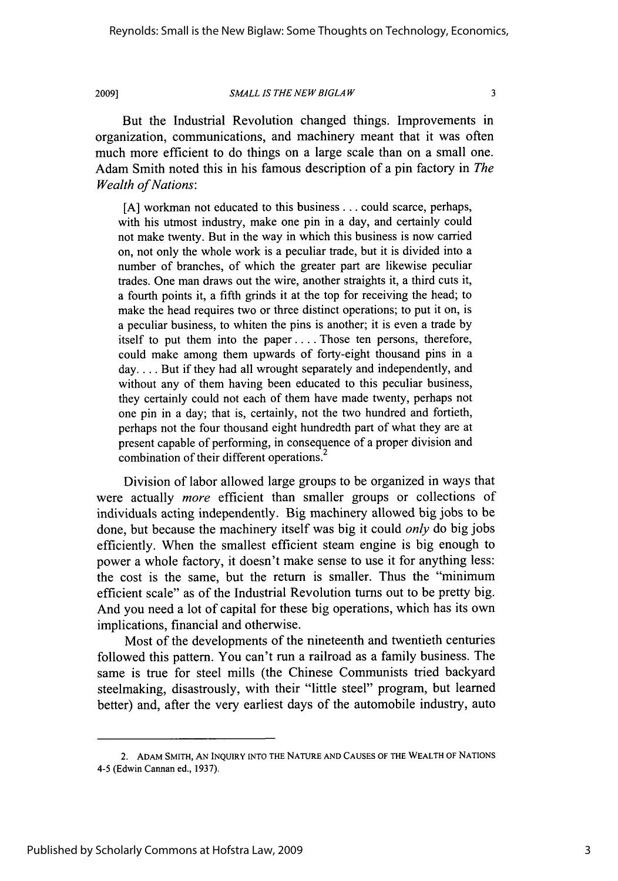#### *SMALL IS THE NEW BIGLAW* **2009] 3**

But the Industrial Revolution changed things. Improvements in organization, communications, and machinery meant that it was often much more efficient to do things on a large scale than on a small one. Adam Smith noted this in his famous description of a pin factory in *The* **Wealth of Nations:** 

**[A]** workman not educated to this business **. . .** could scarce, perhaps, with his utmost industry, make one pin in a day, and certainly could not make twenty. But in the way in which this business is now carried on, not only the whole work is a peculiar trade, but it is divided into a number of branches, of which the greater part are likewise peculiar trades. One man draws out the wire, another straights it, a third cuts it, a fourth points it, a fifth grinds it at the top for receiving the head; to make the head requires two or three distinct operations; to put it on, is a peculiar business, to whiten the pins is another; it is even a trade **by** itself to put them into the paper.. . **.** Those ten persons, therefore, could make among them upwards of forty-eight thousand pins in a **day....** But if they had all wrought separately and independently, and without any of them having been educated to this peculiar business, they certainly could not each of them have made twenty, perhaps not one pin in a day; that is, certainly, not the two hundred and fortieth, perhaps not the four thousand eight hundredth part of what they are at present capable of performing, in consequence of a proper division and combination of their different operations.<sup>2</sup>

Division of labor allowed large groups to be organized in ways that were actually *more* efficient than smaller groups or collections of individuals acting independently. Big machinery allowed big jobs to be done, but because the machinery itself was big it could *only* do big jobs efficiently. When the smallest efficient steam engine is big enough to power a whole factory, it doesn't make sense to use it for anything less: the cost is the same, but the return is smaller. Thus the "minimum efficient scale" as of the Industrial Revolution turns out to be pretty **big.** And you need a lot of capital for these big operations, which has its own implications, financial and otherwise.

Most of the developments of the nineteenth and twentieth centuries followed this pattern. You can't run a railroad as a family business. The same is true for steel mills (the Chinese Communists tried backyard steelmaking, disastrously, with their "little steel" program, but learned better) and, after the very earliest days of the automobile industry, auto

<sup>2.</sup> **ADAM SMITH, AN INQUIRY INTO THE NATURE AND CAUSES OF THE WEALTH OF NATIONS** *4-5* (Edwin Cannan ed., **1937).**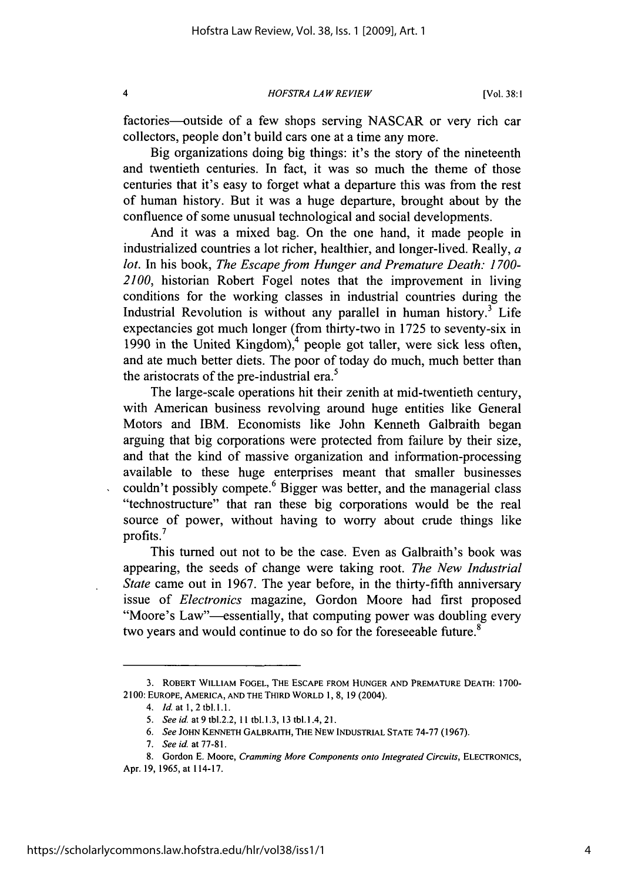#### *HOFSTRA LAW REVIEW* 4 [Vol. **38:1**

factories-outside of a few shops serving **NASCAR** or very rich car collectors, people don't build cars one at a time any more.

Big organizations doing big things: it's the story of the nineteenth and twentieth centuries. In fact, it was so much the theme of those centuries that it's easy to forget what a departure this was from the rest of human history. But it was a huge departure, brought about **by** the confluence of some unusual technological and social developments.

And it was a mixed bag. On the one hand, it made people in industrialized countries a lot richer, healthier, and longer-lived. Really, a *lot.* In his book, *The Escape from Hunger and Premature Death: 1700- 2100,* historian Robert Fogel notes that the improvement in living conditions for the working classes in industrial countries during the Industrial Revolution is without any parallel in human history.<sup>3</sup> Life expectancies got much longer (from thirty-two in **1725** to seventy-six in 1990 in the United Kingdom),<sup>4</sup> people got taller, were sick less often, and ate much better diets. The poor of today do much, much better than the aristocrats of the pre-industrial era.<sup>5</sup>

The large-scale operations hit their zenith at mid-twentieth century, with American business revolving around huge entities like General Motors and IBM. Economists like John Kenneth Galbraith began arguing that big corporations were protected from failure **by** their size, and that the kind of massive organization and information-processing available to these huge enterprises meant that smaller businesses couldn't possibly compete.<sup>6</sup> Bigger was better, and the managerial class "technostructure" that ran these big corporations would be the real source of power, without having to worry about crude things like profits.7

This turned out not to be the case. Even as Galbraith's book was appearing, the seeds of change were taking root. *The New Industrial State* came out in **1967.** The year before, in the thirty-fifth anniversary issue of *Electronics* magazine, Gordon Moore had first proposed "Moore's Law"—essentially, that computing power was doubling every two years and would continue to do so for the foreseeable future.<sup>8</sup>

**<sup>3.</sup> ROBERT WILLIAM FOGEL, THE ESCAPE FROM HUNGER AND PREMATURE DEATH: 1700- 2100: EUROPE, AMERICA, AND THE THIRD WORLD 1, 8, 19** (2004).

*<sup>4.</sup>* **Id.** at **1,** 2 *tbl.1.1.*

**<sup>5.</sup>** *See id.* at **9** tbl.2.2, 11 **tbl.1.3, 13** tbl.1.4, **21.**

**<sup>6.</sup>** *See* **JOHN KENNETH GALBRAITH, THE NEW INDUSTRIAL STATE 74-77 (1967).**

**<sup>7.</sup>** *See* id *at* **77-81.**

**<sup>8.</sup>** Gordon **E.** Moore, *Cramming More* **Components** *onto Integrated Circuits,* **ELECTRONICS,**

Apr. **19, 1965,** at 114-17.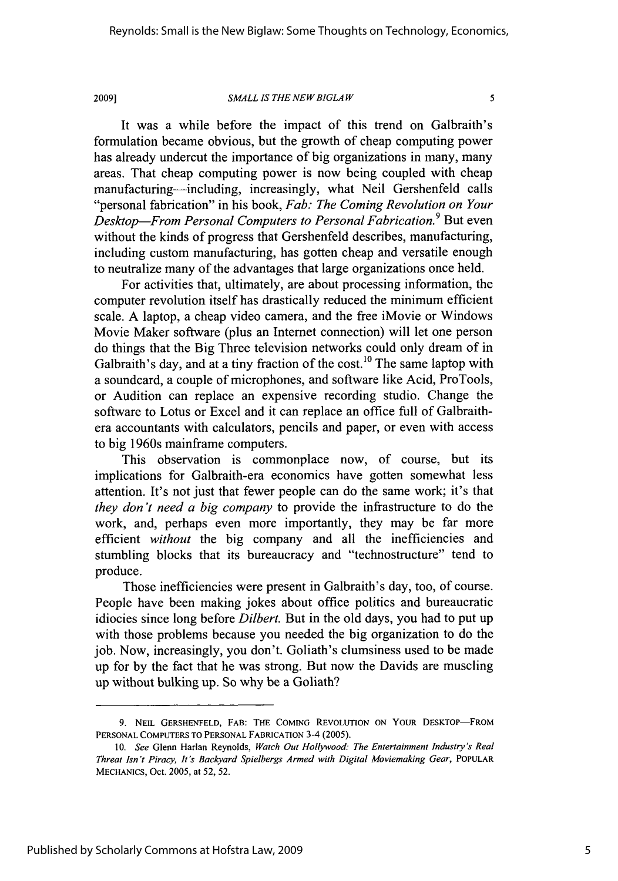**2009]**

#### *SMALL IS THE NEW BIGLA W*

5

It was a while before the impact of this trend on Galbraith's formulation became obvious, but the growth of cheap computing power has already undercut the importance of big organizations in many, many areas. That cheap computing power is now being coupled with cheap manufacturing-including, increasingly, what Neil Gershenfeld calls "personal fabrication" in his book, *Fab: The Coming Revolution on Your Desktop-From Personal Computers to Personal Fabrication.*<sup>9</sup> But even without the kinds of progress that Gershenfeld describes, manufacturing, including custom manufacturing, has gotten cheap and versatile enough to neutralize many of the advantages that large organizations once held.

For activities that, ultimately, are about processing information, the computer revolution itself has drastically reduced the minimum efficient scale. **A** laptop, a cheap video camera, and the free iMovie or Windows Movie Maker software (plus an Internet connection) will let one person do things that the Big Three television networks could only dream of in Galbraith's day, and at a tiny fraction of the cost.<sup>10</sup> The same laptop with a soundcard, a couple of microphones, and software like Acid, ProTools, or Audition can replace an expensive recording studio. Change the software to Lotus or Excel and it can replace an office full of Galbraithera accountants with calculators, pencils and paper, or even with access to big 1960s mainframe computers.

This observation is commonplace now, of course, but its implications for Galbraith-era economics have gotten somewhat less attention. It's not just that fewer people can do the same work; it's that *they don 't need a big company* to provide the infrastructure to do the work, and, perhaps even more importantly, they may be far more efficient *without* the big company and all the inefficiencies and stumbling blocks that its bureaucracy and "technostructure" tend to produce.

Those inefficiencies were present in Galbraith's day, too, of course. People have been making jokes about office politics and bureaucratic idiocies since long before *Dilbert.* But in the old days, you had to put up with those problems because you needed the big organization to do the **job.** Now, increasingly, you don't. Goliath's clumsiness used to be made up for **by** the fact that he was strong. But now the Davids are muscling up without bulking up. So why be a Goliath?

*<sup>9.</sup>* **NEIL GERSHENFELD, FAB: THE COMING REVOLUTION ON YOUR DESKTOP-FROM PERSONAL COMPUTERS TO PERSONAL FABRICATION** 3-4 **(2005).**

*<sup>10.</sup> See* Glenn Harlan Reynolds, *Watch Out Hollywood: The Entertainment Industry's Real Threat Isn't Piracy, It's Backyard Spielbergs Armed with Digital Moviemaking Gear,* **POPULAR MECHANICS,** Oct. **2005,** at **52, 52.**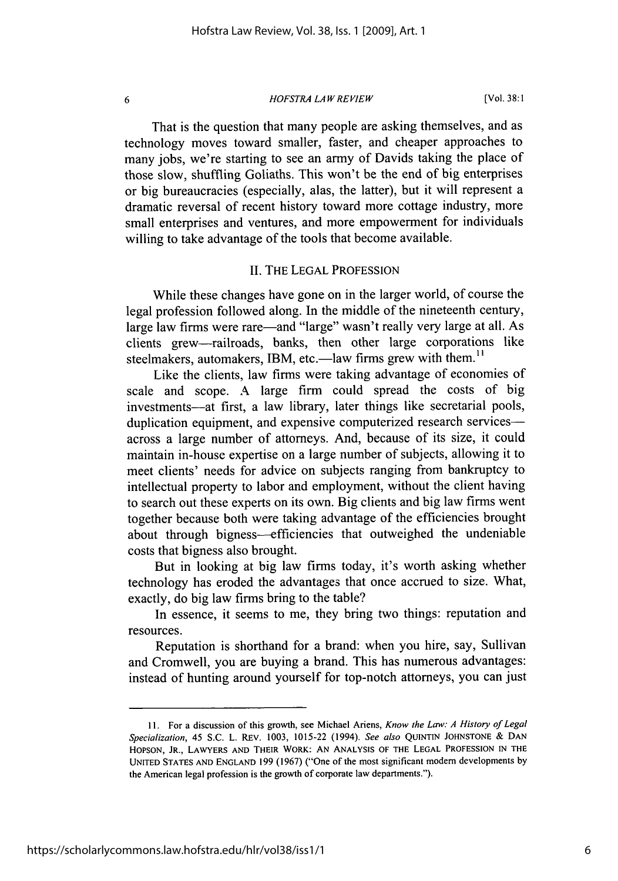#### *HOFSTRA LAW REVIEW* **6** [Vol. **38:1**

That is the question that many people are asking themselves, and as technology moves toward smaller, faster, and cheaper approaches to many jobs, we're starting to see an army of Davids taking the place of those slow, shuffling Goliaths. This won't be the end of big enterprises or big bureaucracies (especially, alas, the latter), but it will represent a dramatic reversal of recent history toward more cottage industry, more small enterprises and ventures, and more empowerment for individuals willing to take advantage of the tools that become available.

#### **II.** THE **LEGAL PROFESSION**

While these changes have gone on in the larger world, of course the legal profession followed along. In the middle of the nineteenth century, large law firms were rare-and "large" wasn't really very large at all. As clients grew-railroads, banks, then other large corporations like steelmakers, automakers, IBM, etc.—law firms grew with them. $<sup>11</sup>$ </sup>

Like the clients, law firms were taking advantage of economies of scale and scope. **A** large firm could spread the costs of big investments—at first, a law library, later things like secretarial pools, duplication equipment, and expensive computerized research servicesacross a large number of attorneys. And, because of its size, it could maintain in-house expertise on a large number of subjects, allowing it to meet clients' needs for advice on subjects ranging from bankruptcy to intellectual property to labor and employment, without the client having to search out these experts on its own. Big clients and big law firms went together because both were taking advantage of the efficiencies brought about through bigness-efficiencies that outweighed the undeniable costs that bigness also brought.

But in looking at big law firms today, it's worth asking whether technology has eroded the advantages that once accrued to size. What, exactly, do big law firms bring to the table?

In essence, it seems to me, they bring two things: reputation and resources.

Reputation is shorthand for a brand: when you hire, say, Sullivan and Cromwell, you are buying a brand. This has numerous advantages: instead of hunting around yourself for top-notch attorneys, you can just

**<sup>11.</sup>** For a discussion of this growth, see Michael Ariens, *Know the Law: A History of Legal* Specialization, 45 **S.C.** L. **REv. 1003, 1015-22** (1994). See also **QUINTIN JOHNSTONE & DAN HOPSON, JR., LAWYERS AND THEIR WORK: AN ANALYSIS OF THE LEGAL PROFESSION IN THE UNITED STATES AND ENGLAND 199 (1967) ("One of the most significant modem developments by the American** legal profession is the growth of corporate law departments.").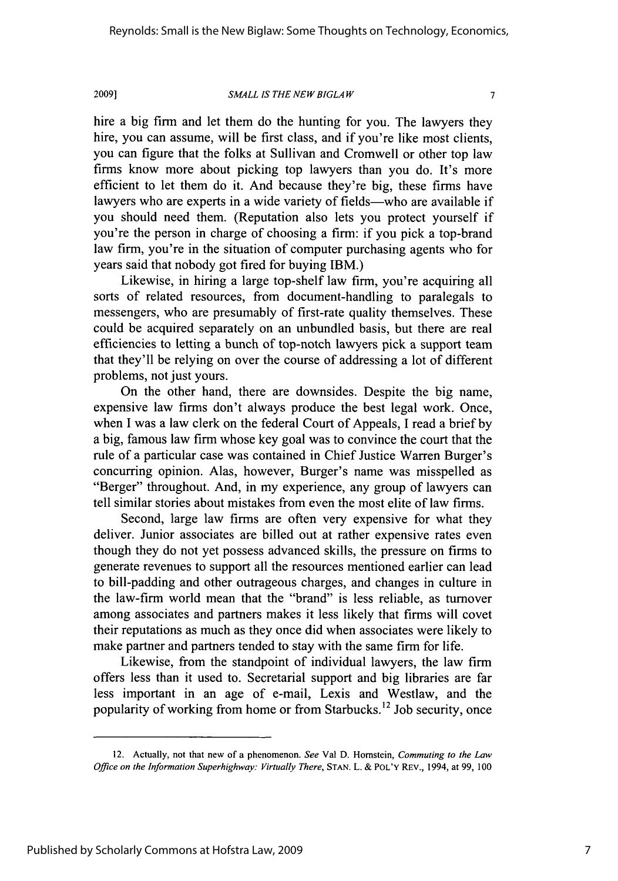### *SMALL IS THE NEW BIGLAW* **2009] 7**

hire a **big** firm and let them do the hunting for you. The lawyers they hire, you can assume, will be first class, and **if** you're like most clients, you can figure that the folks at Sullivan and Cromwell or other top law firms know more about picking top lawyers than you do. It's more efficient to let them do it. And because they're big, these firms have lawyers who are experts in a wide variety of fields-who are available if you should need them. (Reputation also lets you protect yourself if you're the person in charge of choosing a firm: if you pick a top-brand law firm, you're in the situation of computer purchasing agents who for years said that nobody got fired for buying IBM.)

Likewise, in hiring a large top-shelf law firm, you're acquiring all sorts of related resources, from document-handling to paralegals to messengers, who are presumably of first-rate quality themselves. These could be acquired separately on an unbundled basis, but there are real efficiencies to letting a bunch of top-notch lawyers pick a support team that they'll be relying on over the course of addressing a lot of different problems, not just yours.

On the other hand, there are downsides. Despite the big name, expensive law firms don't always produce the best legal work. Once, when **I** was a law clerk on the federal Court of Appeals, **I** read a brief **by** a big, famous law firm whose key goal was to convince the court that the rule of a particular case was contained in Chief Justice Warren Burger's concurring opinion. Alas, however, Burger's name was misspelled as "Berger" throughout. And, in my experience, any group of lawyers can tell similar stories about mistakes from even the most elite of law firms.

Second, large law firms are often very expensive for what they deliver. Junior associates are billed out at rather expensive rates even though they do not yet possess advanced skills, the pressure on firms to generate revenues to support all the resources mentioned earlier can lead to bill-padding and other outrageous charges, and changes in culture in the law-firm world mean that the "brand" is less reliable, as turnover among associates and partners makes it less likely that firms will covet their reputations as much as they once did when associates were likely to make partner and partners tended to stay with the same firm for life.

Likewise, from the standpoint of individual lawyers, the law firm offers less than it used to. Secretarial support and big libraries are far less important in an age of e-mail, Lexis and Westlaw, and the popularity of working from home or from Starbucks.12 Job security, once

<sup>12.</sup> Actually, not that new of a phenomenon. *See* Val **D.** Hornstein, *Commuting to the Law Office on the Information Superhighway: Virtually There,* **STAN.** L. **&** POL'Y REv., 1994, at **99, 100**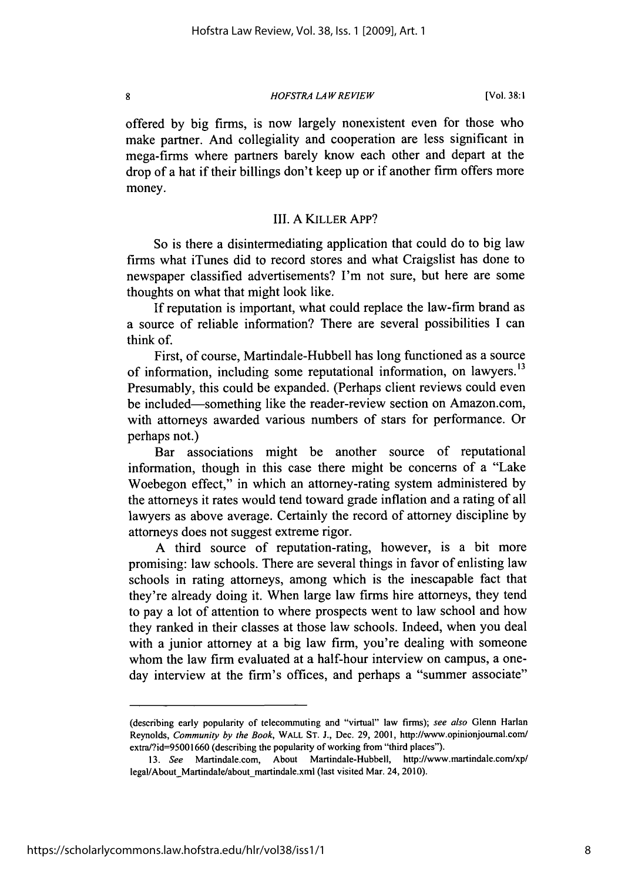*HOFSTRA LAW REVIEW* **8** [Vol. **38:1**

offered **by** big firms, is now largely nonexistent even for those who make partner. And collegiality and cooperation are less significant in mega-firms where partners barely know each other and depart at the drop of a hat if their billings don't keep up or if another firm offers more money.

# III. **A** KILLER **APP?**

So is there a disintermediating application that could do to big law firms what iTunes did to record stores and what Craigslist has done to newspaper classified advertisements? I'm not sure, but here are some thoughts on what that might look like.

**If** reputation is important, what could replace the law-firm brand as a source of reliable information? There are several possibilities **I** can think of.

First, of course, Martindale-Hubbell has long functioned as a source of information, including some reputational information, on lawyers.<sup>13</sup> Presumably, this could be expanded. (Perhaps client reviews could even be included—something like the reader-review section on Amazon.com, with attorneys awarded various numbers of stars for performance. Or perhaps not.)

Bar associations might be another source of reputational information, though in this case there might be concerns of a "Lake Woebegon effect," in which an attorney-rating system administered **by** the attorneys it rates would tend toward grade inflation and a rating of all lawyers as above average. Certainly the record of attorney discipline **by** attorneys does not suggest extreme rigor.

**A** third source of reputation-rating, however, is a bit more promising: law schools. There are several things in favor of enlisting law schools in rating attorneys, among which is the inescapable fact that they're already doing it. When large law firms hire attorneys, they tend to pay a lot of attention to where prospects went to law school and how they ranked in their classes at those law schools. Indeed, when you deal with a junior attorney at a **big** law firm, you're dealing with someone whom the law firm evaluated at a half-hour interview on campus, a oneday interview at the firm's offices, and perhaps a "summer associate"

<sup>(</sup>describing early popularity of telecommuting and "virtual" law firms); *see also* Glenn Harlan Reynolds, *Community by the Book,* **WALL ST. J.,** Dec. **29,** 2001, http://www.opinionjoumal.com/ extra/?id=95001660 (describing the popularity of working from "third places").

*<sup>13.</sup> See* Martindale.com, About Martindale-Hubbell, http://www.martindale.com/xp/ legal/About Martindale/about martindale.xml (last visited Mar. 24, 2010).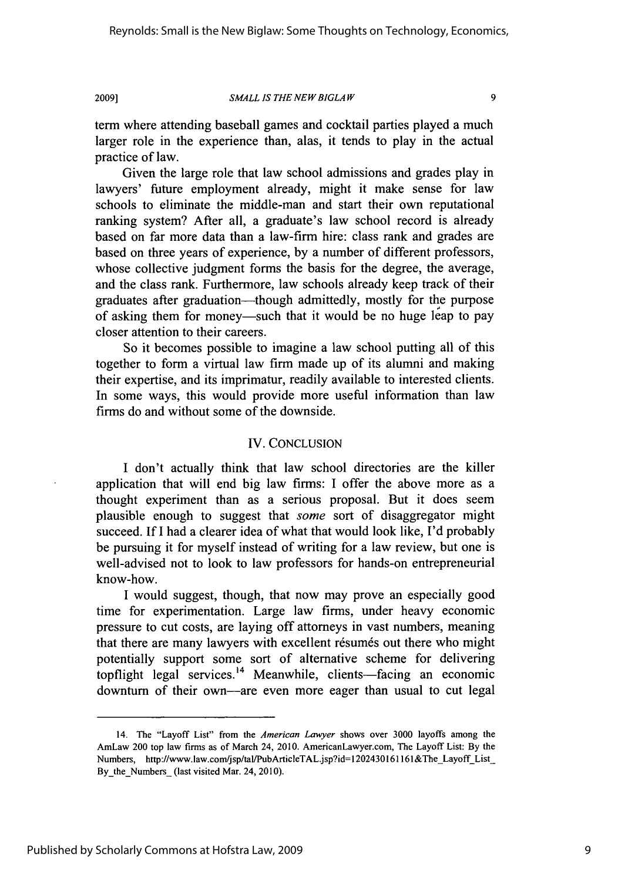#### *SMALL IS THE NEW BIGLAW* **2009] 9**

term where attending baseball games and cocktail parties played a much larger role in the experience than, alas, it tends to play in the actual practice of law.

Given the large role that law school admissions and grades play in lawyers' future employment already, might it make sense for law schools to eliminate the middle-man and start their own reputational ranking system? After all, a graduate's law school record is already based on far more data than a law-firm hire: class rank and grades are based on three years of experience, **by** a number of different professors, whose collective judgment forms the basis for the degree, the average, and the class rank. Furthermore, law schools already keep track of their graduates after graduation-though admittedly, mostly for the purpose of asking them for money-such that it would be no huge leap to pay closer attention to their careers.

So it becomes possible to imagine a law school putting all of this together to form a virtual law firm made up of its alumni and making their expertise, and its imprimatur, readily available to interested clients. In some ways, this would provide more useful information than law firms do and without some of the downside.

## **IV. CONCLUSION**

**I** don't actually think that law school directories are the killer application that will end big law firms: **I** offer the above more as a thought experiment than as a serious proposal. But it does seem plausible enough to suggest that *some* sort of disaggregator might succeed. **If I** had a clearer idea of what that would look like, **I'd** probably be pursuing it for myself instead of writing for a law review, but one is well-advised not to look to law professors for hands-on entrepreneurial know-how.

**I** would suggest, though, that now may prove an especially good time for experimentation. Large law firms, under heavy economic pressure to cut costs, are laying off attorneys in vast numbers, meaning that there are many lawyers with excellent résumés out there who might potentially support some sort of alternative scheme for delivering topflight legal services.<sup>14</sup> Meanwhile, clients-facing an economic downturn of their own-are even more eager than usual to cut legal

<sup>14.</sup> The "Layoff List" from the *American Lawyer* shows over **3000** layoffs among the AmLaw 200 top law firms as of March 24, 2010. AmericanLawyer.com, The Layoff List: **By** the Numbers, http://www.law.com/jsp/tal/PubArticleTAL.jsp?id=1202430161161&The Layoff List By\_the\_Numbers\_ (last visited Mar. 24, 2010).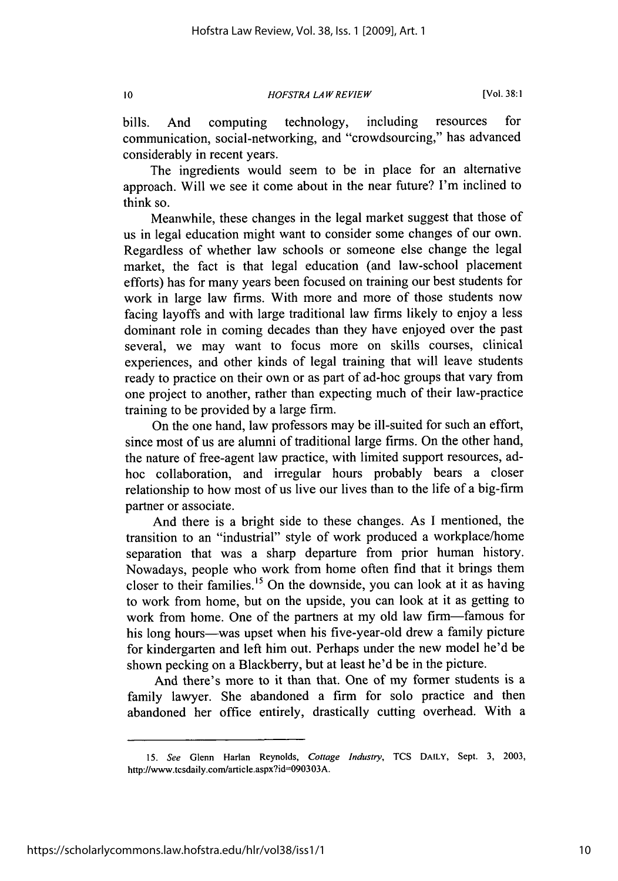*HOFSTRA LAW REVIEW* **10** [Vol. **38:1**

bills. And computing technology, including resources for communication, social-networking, and "crowdsourcing," has advanced considerably in recent years.

The ingredients would seem to be in place for an alternative approach. Will we see it come about in the near future? I'm inclined to think so.

Meanwhile, these changes in the legal market suggest that those of us in legal education might want to consider some changes of our own. Regardless of whether law schools or someone else change the legal market, the fact is that legal education (and law-school placement efforts) has for many years been focused on training our best students for work in large law firms. With more and more of those students now facing layoffs and with large traditional law firms likely to enjoy a less dominant role in coming decades than they have enjoyed over the past several, we may want to focus more on skills courses, clinical experiences, and other kinds of legal training that will leave students ready to practice on their own or as part of ad-hoc groups that vary from one project to another, rather than expecting much of their law-practice training to be provided **by** a large firm.

On the one hand, law professors may be ill-suited for such an effort, since most of us are alumni of traditional large firms. On the other hand, the nature of free-agent law practice, with limited support resources, adhoc collaboration, and irregular hours probably bears a closer relationship to how most of us live our lives than to the life of a big-firm partner or associate.

And there is a bright side to these changes. As **I** mentioned, the transition to an "industrial" style of work produced a workplace/home separation that was a sharp departure from prior human history. Nowadays, people who work from home often find that it brings them closer to their families.<sup>15</sup> On the downside, you can look at it as having to work from home, but on the upside, you can look at it as getting to work from home. One of the partners at my old law firm-famous for his long hours-was upset when his five-year-old drew a family picture for kindergarten and left him out. Perhaps under the new model he'd be shown pecking on a Blackberry, but at least he'd be in the picture.

And there's more to it than that. One of my former students is a family lawyer. She abandoned a firm for solo practice and then abandoned her office entirely, drastically cutting overhead. With a

*<sup>15.</sup> See* Glenn **Harlan Reynolds,** *Cottage Industry,* **TCS DAILY, Sept. 3, 2003, http://www.tcsdaily.com/article.aspx?id=090303A.**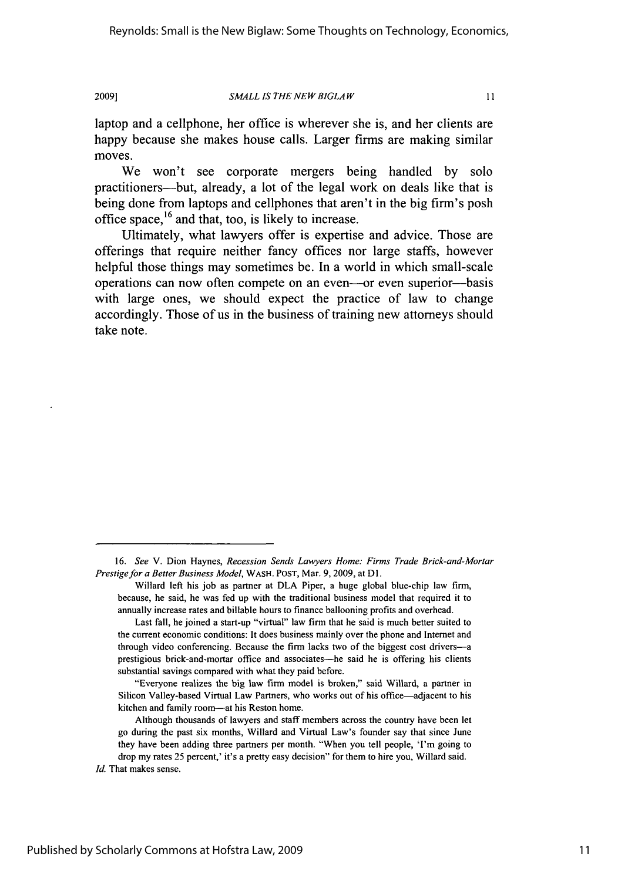#### **2009**] *SMALL IS THE NEW BIGLAW* **11**

laptop and a cellphone, her office is wherever she is, and her clients are happy because she makes house calls. Larger firms are making similar moves.

We won't see corporate mergers being handled **by** solo practitioners-but, already, a lot of the legal work on deals like that is being done from laptops and cellphones that aren't in the big firm's posh office space,16 and that, too, is likely to increase.

Ultimately, what lawyers offer is expertise and advice. Those are offerings that require neither fancy offices nor large staffs, however helpful those things may sometimes be. In a world in which small-scale operations can now often compete on an even---or even superior--basis with large ones, we should expect the practice of law to change accordingly. Those of us in the business of training new attorneys should take note.

"Everyone realizes the big law firm model is broken," said Willard, a partner in Silicon Valley-based Virtual Law Partners, who works out of his office-adjacent to his kitchen and family room-at his Reston home.

*<sup>16.</sup> See* V. Dion Haynes, *Recession Sends Lawyers Home: Firms Trade Brick-and-Mortar Prestige for a Better Business Model,* WASH. **POST,** Mar. **9, 2009,** at **DI.**

Willard left his **job** as partner at **DLA** Piper, a huge global blue-chip law firm, because, he said, he was fed up with the traditional business model that required it to annually increase rates and billable hours to finance ballooning profits and overhead.

Last fall, he joined a start-up "virtual" law firm that he said is much better suited to the current economic conditions: It does business mainly over the phone and Internet and through video conferencing. Because the firm lacks two of the biggest cost drivers-a prestigious brick-and-mortar office and associates-he said he is offering his clients substantial savings compared with what they paid before.

Although thousands of lawyers and staff members across the country have been let go during the past six months, Willard and Virtual Law's founder say that since June they have been adding three partners per month. "When you tell people, 'I'm going to drop my rates **25** percent,' it's a pretty easy decision" for them to hire you, Willard said. *Id.* That makes sense.